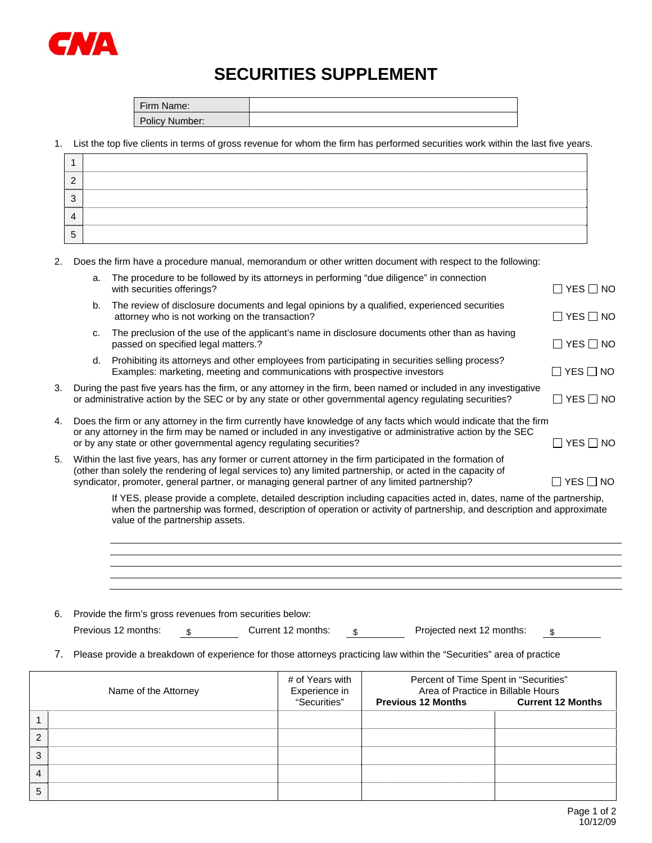

## **SECURITIES SUPPLEMENT**

| Firm Name:     |  |
|----------------|--|
| Policy Number: |  |

1. List the top five clients in terms of gross revenue for whom the firm has performed securities work within the last five years.

| ╭ |  |
|---|--|
|   |  |
|   |  |

2. Does the firm have a procedure manual, memorandum or other written document with respect to the following:

|                                                                                                                                                                                                                                    | a.                                                                                                                                                                                                                                                                                                                           | The procedure to be followed by its attorneys in performing "due diligence" in connection<br>with securities offerings?                                                                                                                                                                                    | $\Box$ YES $\Box$ NO       |  |  |  |
|------------------------------------------------------------------------------------------------------------------------------------------------------------------------------------------------------------------------------------|------------------------------------------------------------------------------------------------------------------------------------------------------------------------------------------------------------------------------------------------------------------------------------------------------------------------------|------------------------------------------------------------------------------------------------------------------------------------------------------------------------------------------------------------------------------------------------------------------------------------------------------------|----------------------------|--|--|--|
|                                                                                                                                                                                                                                    | b.                                                                                                                                                                                                                                                                                                                           | The review of disclosure documents and legal opinions by a qualified, experienced securities<br>attorney who is not working on the transaction?                                                                                                                                                            | $\Box$ YES $\Box$ NO       |  |  |  |
|                                                                                                                                                                                                                                    | C.                                                                                                                                                                                                                                                                                                                           | The preclusion of the use of the applicant's name in disclosure documents other than as having<br>passed on specified legal matters.?                                                                                                                                                                      | $\Box$ YES $\Box$ NO       |  |  |  |
|                                                                                                                                                                                                                                    | d.                                                                                                                                                                                                                                                                                                                           | Prohibiting its attorneys and other employees from participating in securities selling process?<br>Examples: marketing, meeting and communications with prospective investors                                                                                                                              | $\square$ YES $\square$ NO |  |  |  |
| 3.<br>During the past five years has the firm, or any attorney in the firm, been named or included in any investigative<br>or administrative action by the SEC or by any state or other governmental agency regulating securities? |                                                                                                                                                                                                                                                                                                                              |                                                                                                                                                                                                                                                                                                            |                            |  |  |  |
| 4.                                                                                                                                                                                                                                 |                                                                                                                                                                                                                                                                                                                              | Does the firm or any attorney in the firm currently have knowledge of any facts which would indicate that the firm<br>or any attorney in the firm may be named or included in any investigative or administrative action by the SEC<br>or by any state or other governmental agency regulating securities? | $\square$ YES $\square$ NO |  |  |  |
| 5.                                                                                                                                                                                                                                 | Within the last five years, has any former or current attorney in the firm participated in the formation of<br>(other than solely the rendering of legal services to) any limited partnership, or acted in the capacity of<br>syndicator, promoter, general partner, or managing general partner of any limited partnership? |                                                                                                                                                                                                                                                                                                            |                            |  |  |  |
|                                                                                                                                                                                                                                    | If YES, please provide a complete, detailed description including capacities acted in, dates, name of the partnership,<br>when the partnership was formed, description of operation or activity of partnership, and description and approximate<br>value of the partnership assets.                                          |                                                                                                                                                                                                                                                                                                            |                            |  |  |  |

|  | 6. Provide the firm's gross revenues from securities below: |  |
|--|-------------------------------------------------------------|--|
|--|-------------------------------------------------------------|--|

Previous 12 months:  $\frac{\$}{\$}$  Current 12 months:  $\frac{\$}{\$}$  Projected next 12 months:  $\$$ 

7. Please provide a breakdown of experience for those attorneys practicing law within the "Securities" area of practice

|   | Name of the Attorney | # of Years with<br>Experience in<br>"Securities" | Percent of Time Spent in "Securities"<br>Area of Practice in Billable Hours<br><b>Previous 12 Months</b><br><b>Current 12 Months</b> |  |  |  |
|---|----------------------|--------------------------------------------------|--------------------------------------------------------------------------------------------------------------------------------------|--|--|--|
|   |                      |                                                  |                                                                                                                                      |  |  |  |
| ာ |                      |                                                  |                                                                                                                                      |  |  |  |
| 3 |                      |                                                  |                                                                                                                                      |  |  |  |
|   |                      |                                                  |                                                                                                                                      |  |  |  |
| 5 |                      |                                                  |                                                                                                                                      |  |  |  |